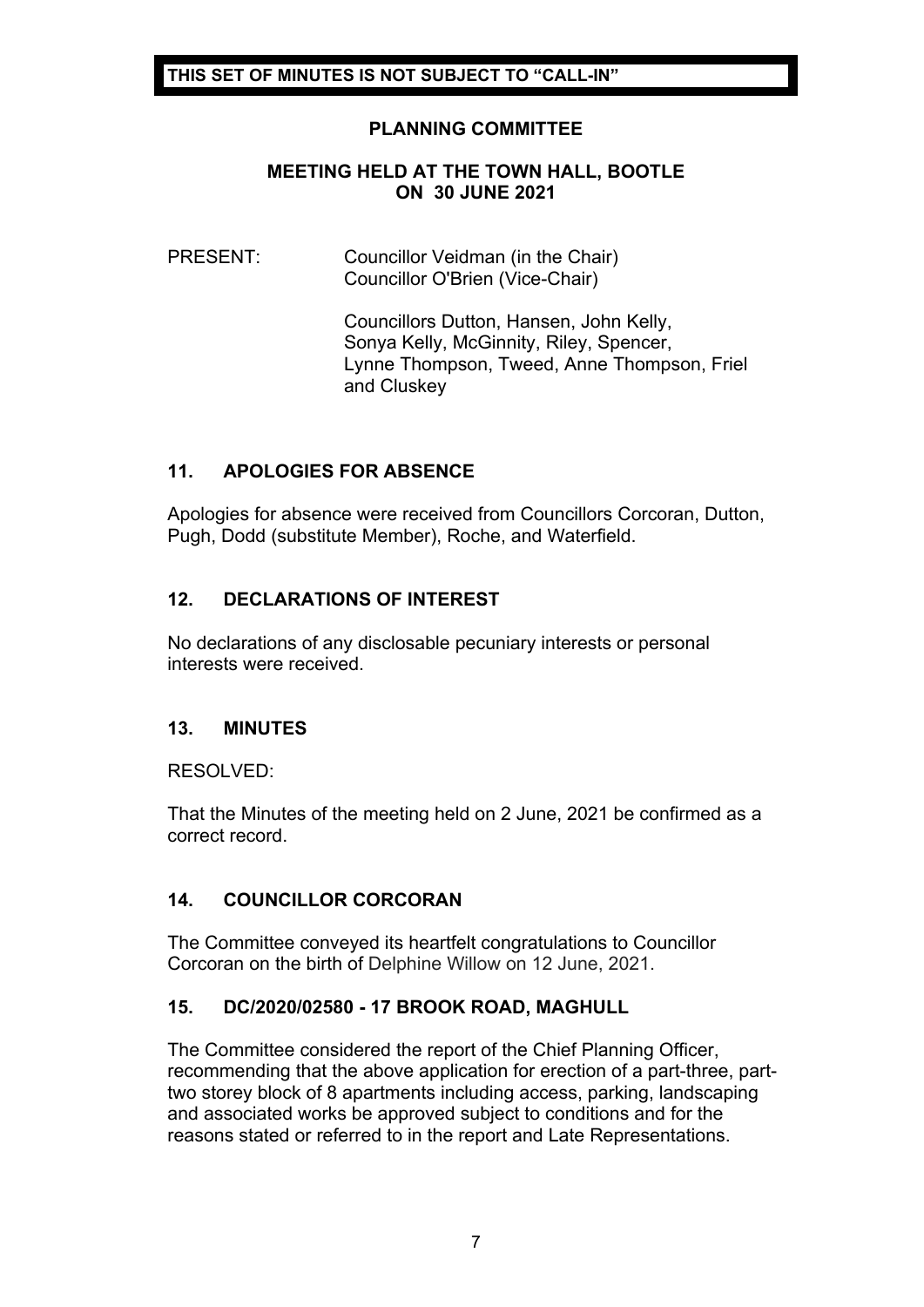# **PLANNING COMMITTEE**

#### **MEETING HELD AT THE TOWN HALL, BOOTLE ON 30 JUNE 2021**

## PRESENT: Councillor Veidman (in the Chair) Councillor O'Brien (Vice-Chair)

Councillors Dutton, Hansen, John Kelly, Sonya Kelly, McGinnity, Riley, Spencer, Lynne Thompson, Tweed, Anne Thompson, Friel and Cluskey

# **11. APOLOGIES FOR ABSENCE**

Apologies for absence were received from Councillors Corcoran, Dutton, Pugh, Dodd (substitute Member), Roche, and Waterfield.

# **12. DECLARATIONS OF INTEREST**

No declarations of any disclosable pecuniary interests or personal interests were received.

# **13. MINUTES**

RESOLVED:

That the Minutes of the meeting held on 2 June, 2021 be confirmed as a correct record.

# **14. COUNCILLOR CORCORAN**

The Committee conveyed its heartfelt congratulations to Councillor Corcoran on the birth of Delphine Willow on 12 June, 2021.

# **15. DC/2020/02580 - 17 BROOK ROAD, MAGHULL**

The Committee considered the report of the Chief Planning Officer, recommending that the above application for erection of a part-three, parttwo storey block of 8 apartments including access, parking, landscaping and associated works be approved subject to conditions and for the reasons stated or referred to in the report and Late Representations.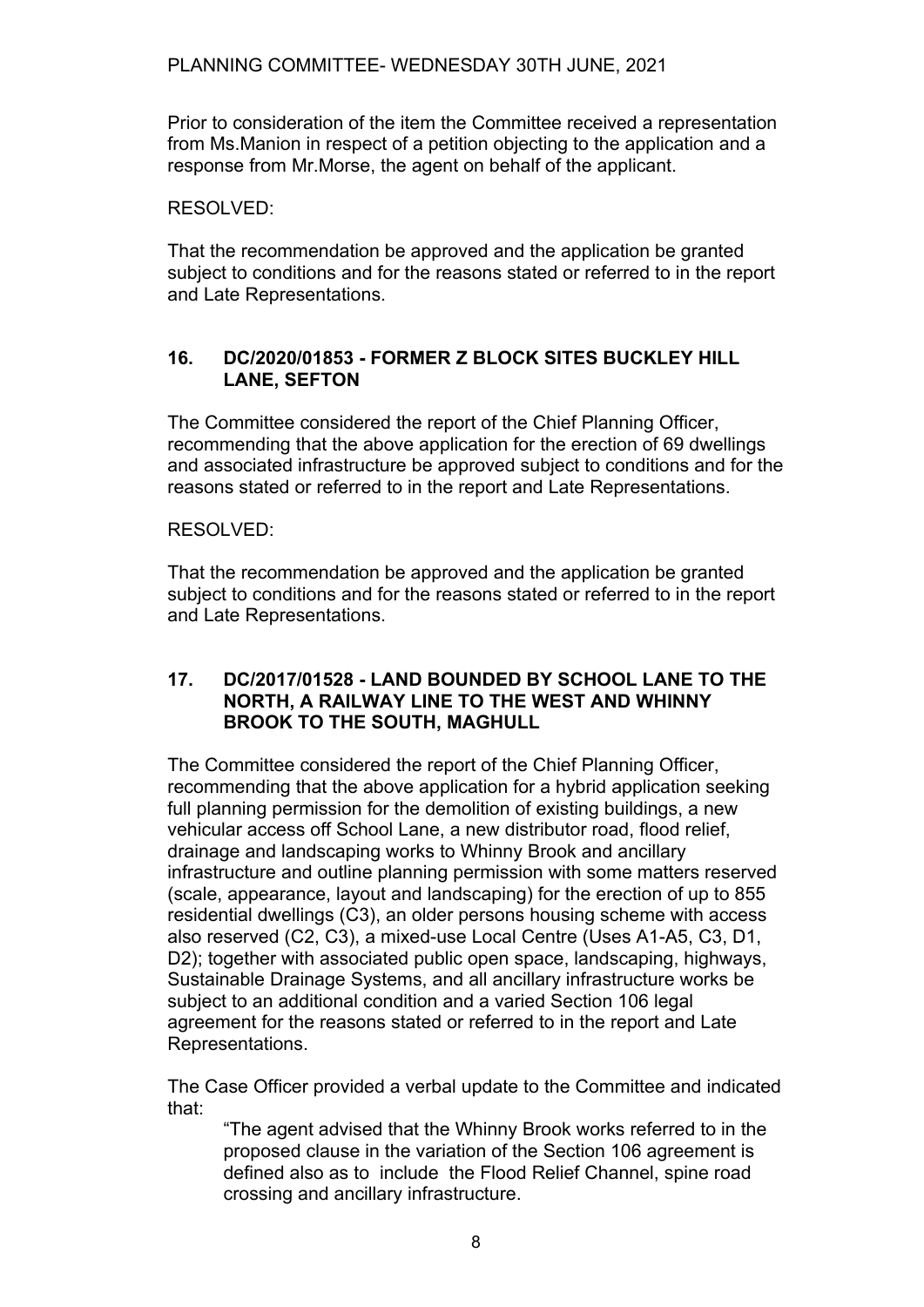Prior to consideration of the item the Committee received a representation from Ms.Manion in respect of a petition objecting to the application and a response from Mr.Morse, the agent on behalf of the applicant.

## RESOLVED:

That the recommendation be approved and the application be granted subject to conditions and for the reasons stated or referred to in the report and Late Representations.

## **16. DC/2020/01853 - FORMER Z BLOCK SITES BUCKLEY HILL LANE, SEFTON**

The Committee considered the report of the Chief Planning Officer, recommending that the above application for the erection of 69 dwellings and associated infrastructure be approved subject to conditions and for the reasons stated or referred to in the report and Late Representations.

#### RESOLVED:

That the recommendation be approved and the application be granted subject to conditions and for the reasons stated or referred to in the report and Late Representations.

#### **17. DC/2017/01528 - LAND BOUNDED BY SCHOOL LANE TO THE NORTH, A RAILWAY LINE TO THE WEST AND WHINNY BROOK TO THE SOUTH, MAGHULL**

The Committee considered the report of the Chief Planning Officer, recommending that the above application for a hybrid application seeking full planning permission for the demolition of existing buildings, a new vehicular access off School Lane, a new distributor road, flood relief, drainage and landscaping works to Whinny Brook and ancillary infrastructure and outline planning permission with some matters reserved (scale, appearance, layout and landscaping) for the erection of up to 855 residential dwellings (C3), an older persons housing scheme with access also reserved (C2, C3), a mixed-use Local Centre (Uses A1-A5, C3, D1, D2); together with associated public open space, landscaping, highways, Sustainable Drainage Systems, and all ancillary infrastructure works be subject to an additional condition and a varied Section 106 legal agreement for the reasons stated or referred to in the report and Late Representations.

The Case Officer provided a verbal update to the Committee and indicated that:

"The agent advised that the Whinny Brook works referred to in the proposed clause in the variation of the Section 106 agreement is defined also as to include the Flood Relief Channel, spine road crossing and ancillary infrastructure.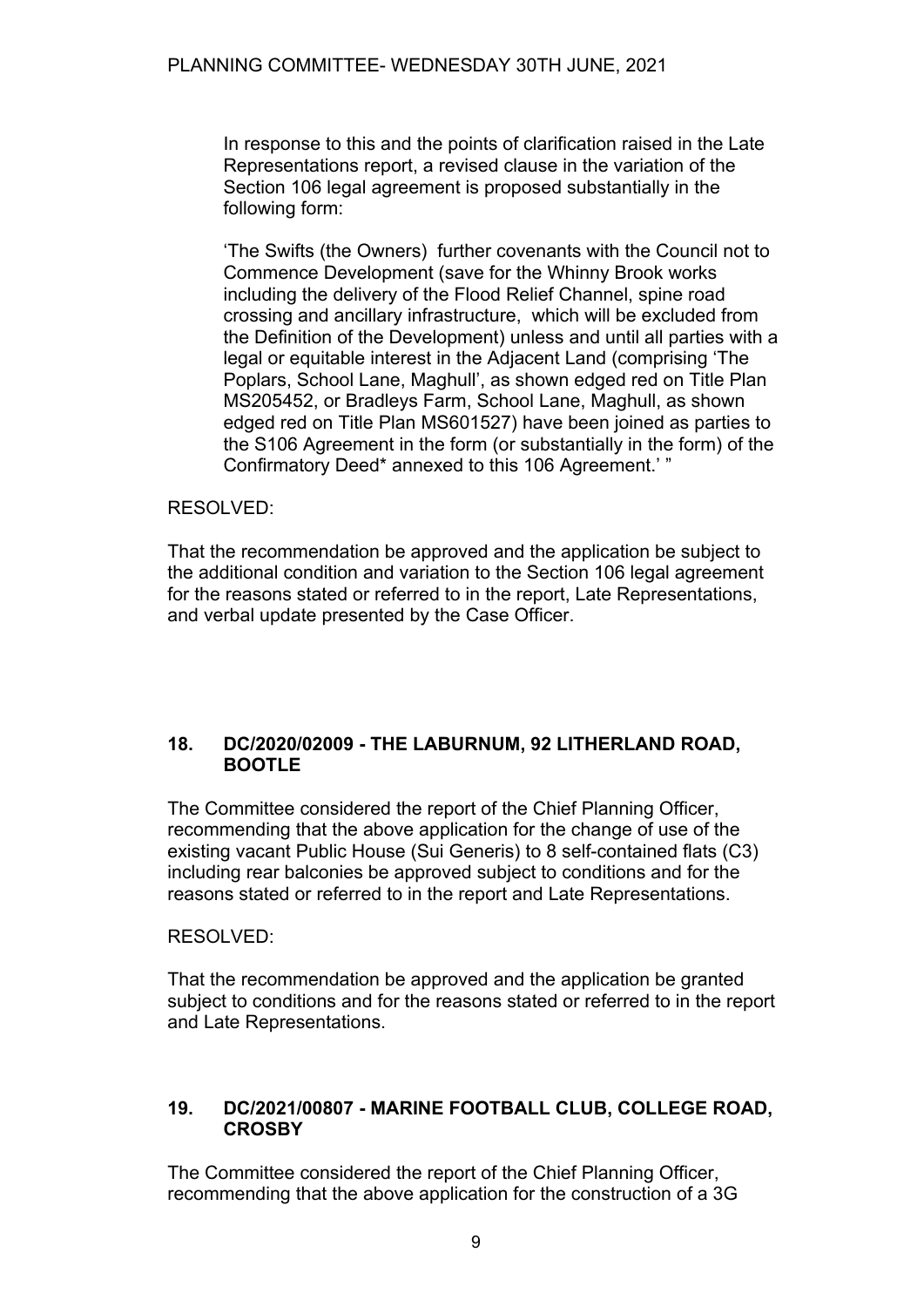In response to this and the points of clarification raised in the Late Representations report, a revised clause in the variation of the Section 106 legal agreement is proposed substantially in the following form:

'The Swifts (the Owners) further covenants with the Council not to Commence Development (save for the Whinny Brook works including the delivery of the Flood Relief Channel, spine road crossing and ancillary infrastructure, which will be excluded from the Definition of the Development) unless and until all parties with a legal or equitable interest in the Adjacent Land (comprising 'The Poplars, School Lane, Maghull', as shown edged red on Title Plan MS205452, or Bradleys Farm, School Lane, Maghull, as shown edged red on Title Plan MS601527) have been joined as parties to the S106 Agreement in the form (or substantially in the form) of the Confirmatory Deed\* annexed to this 106 Agreement.' "

# RESOLVED:

That the recommendation be approved and the application be subject to the additional condition and variation to the Section 106 legal agreement for the reasons stated or referred to in the report, Late Representations, and verbal update presented by the Case Officer.

## **18. DC/2020/02009 - THE LABURNUM, 92 LITHERLAND ROAD, BOOTLE**

The Committee considered the report of the Chief Planning Officer, recommending that the above application for the change of use of the existing vacant Public House (Sui Generis) to 8 self-contained flats (C3) including rear balconies be approved subject to conditions and for the reasons stated or referred to in the report and Late Representations.

# RESOLVED:

That the recommendation be approved and the application be granted subject to conditions and for the reasons stated or referred to in the report and Late Representations.

## **19. DC/2021/00807 - MARINE FOOTBALL CLUB, COLLEGE ROAD, CROSBY**

The Committee considered the report of the Chief Planning Officer, recommending that the above application for the construction of a 3G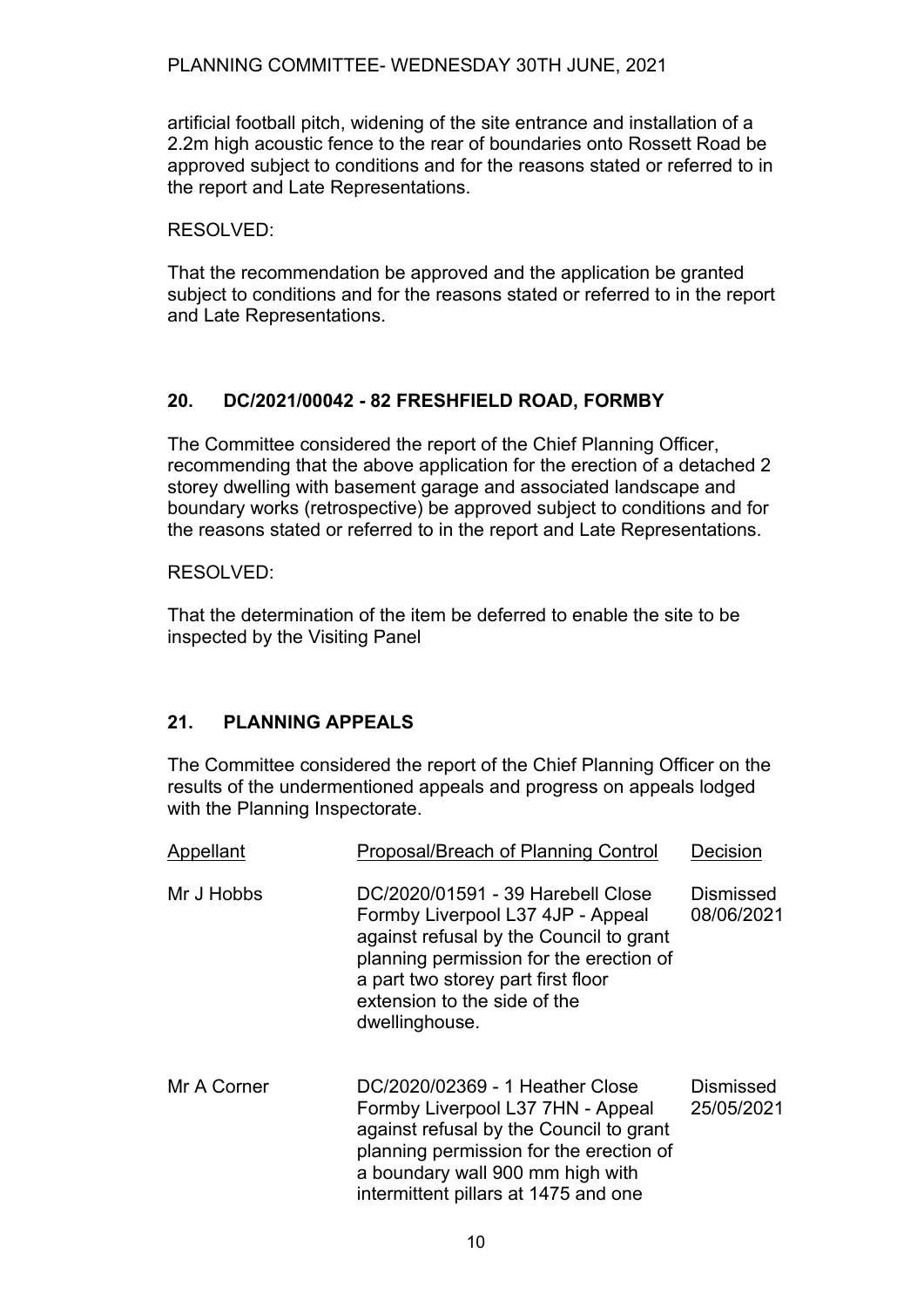PLANNING COMMITTEE- WEDNESDAY 30TH JUNE, 2021

artificial football pitch, widening of the site entrance and installation of a 2.2m high acoustic fence to the rear of boundaries onto Rossett Road be approved subject to conditions and for the reasons stated or referred to in the report and Late Representations.

RESOLVED:

That the recommendation be approved and the application be granted subject to conditions and for the reasons stated or referred to in the report and Late Representations.

# **20. DC/2021/00042 - 82 FRESHFIELD ROAD, FORMBY**

The Committee considered the report of the Chief Planning Officer, recommending that the above application for the erection of a detached 2 storey dwelling with basement garage and associated landscape and boundary works (retrospective) be approved subject to conditions and for the reasons stated or referred to in the report and Late Representations.

## RESOLVED:

That the determination of the item be deferred to enable the site to be inspected by the Visiting Panel

# **21. PLANNING APPEALS**

The Committee considered the report of the Chief Planning Officer on the results of the undermentioned appeals and progress on appeals lodged with the Planning Inspectorate.

| Appellant   | Proposal/Breach of Planning Control                                                                                                                                                                                                                  | Decision                       |
|-------------|------------------------------------------------------------------------------------------------------------------------------------------------------------------------------------------------------------------------------------------------------|--------------------------------|
| Mr J Hobbs  | DC/2020/01591 - 39 Harebell Close<br>Formby Liverpool L37 4JP - Appeal<br>against refusal by the Council to grant<br>planning permission for the erection of<br>a part two storey part first floor<br>extension to the side of the<br>dwellinghouse. | Dismissed<br>08/06/2021        |
| Mr A Corner | DC/2020/02369 - 1 Heather Close<br>Formby Liverpool L37 7HN - Appeal<br>against refusal by the Council to grant<br>planning permission for the erection of<br>a boundary wall 900 mm high with<br>intermittent pillars at 1475 and one               | <b>Dismissed</b><br>25/05/2021 |